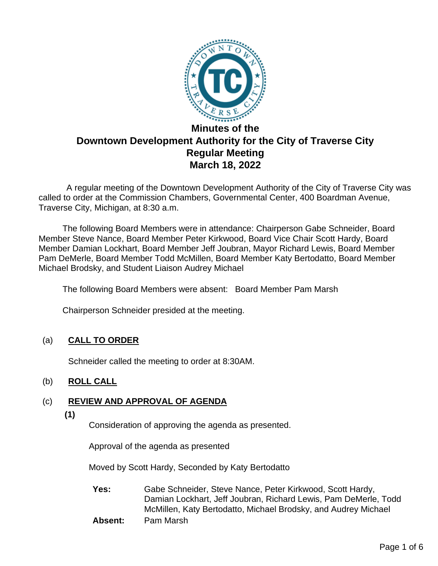

 A regular meeting of the Downtown Development Authority of the City of Traverse City was called to order at the Commission Chambers, Governmental Center, 400 Boardman Avenue, Traverse City, Michigan, at 8:30 a.m.

The following Board Members were in attendance: Chairperson Gabe Schneider, Board Member Steve Nance, Board Member Peter Kirkwood, Board Vice Chair Scott Hardy, Board Member Damian Lockhart, Board Member Jeff Joubran, Mayor Richard Lewis, Board Member Pam DeMerle, Board Member Todd McMillen, Board Member Katy Bertodatto, Board Member Michael Brodsky, and Student Liaison Audrey Michael

The following Board Members were absent: Board Member Pam Marsh

Chairperson Schneider presided at the meeting.

# (a) **CALL TO ORDER**

Schneider called the meeting to order at 8:30AM.

# (b) **ROLL CALL**

# (c) **REVIEW AND APPROVAL OF AGENDA**

**(1)**

Consideration of approving the agenda as presented.

Approval of the agenda as presented

Moved by Scott Hardy, Seconded by Katy Bertodatto

**Yes:** Gabe Schneider, Steve Nance, Peter Kirkwood, Scott Hardy, Damian Lockhart, Jeff Joubran, Richard Lewis, Pam DeMerle, Todd McMillen, Katy Bertodatto, Michael Brodsky, and Audrey Michael

**Absent:** Pam Marsh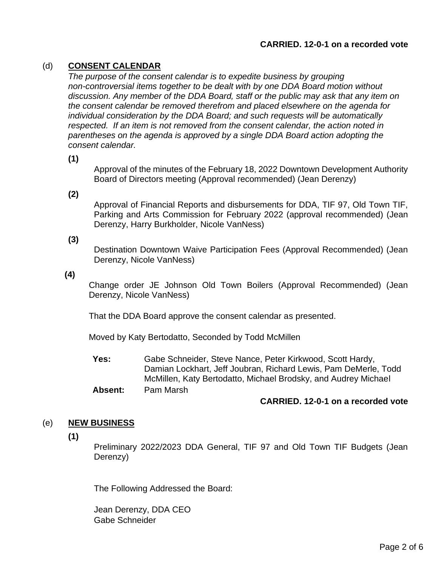## **CARRIED. 12-0-1 on a recorded vote**

## (d) **CONSENT CALENDAR**

*The purpose of the consent calendar is to expedite business by grouping non-controversial items together to be dealt with by one DDA Board motion without discussion. Any member of the DDA Board, staff or the public may ask that any item on the consent calendar be removed therefrom and placed elsewhere on the agenda for individual consideration by the DDA Board; and such requests will be automatically respected. If an item is not removed from the consent calendar, the action noted in parentheses on the agenda is approved by a single DDA Board action adopting the consent calendar.*

**(1)**

Approval of the minutes of the February 18, 2022 Downtown Development Authority Board of Directors meeting (Approval recommended) (Jean Derenzy)

**(2)**

Approval of Financial Reports and disbursements for DDA, TIF 97, Old Town TIF, Parking and Arts Commission for February 2022 (approval recommended) (Jean Derenzy, Harry Burkholder, Nicole VanNess)

**(3)**

Destination Downtown Waive Participation Fees (Approval Recommended) (Jean Derenzy, Nicole VanNess)

**(4)**

Change order JE Johnson Old Town Boilers (Approval Recommended) (Jean Derenzy, Nicole VanNess)

That the DDA Board approve the consent calendar as presented.

Moved by Katy Bertodatto, Seconded by Todd McMillen

**Yes:** Gabe Schneider, Steve Nance, Peter Kirkwood, Scott Hardy, Damian Lockhart, Jeff Joubran, Richard Lewis, Pam DeMerle, Todd McMillen, Katy Bertodatto, Michael Brodsky, and Audrey Michael

**Absent:** Pam Marsh

## **CARRIED. 12-0-1 on a recorded vote**

#### (e) **NEW BUSINESS**

**(1)**

Preliminary 2022/2023 DDA General, TIF 97 and Old Town TIF Budgets (Jean Derenzy)

The Following Addressed the Board:

Jean Derenzy, DDA CEO Gabe Schneider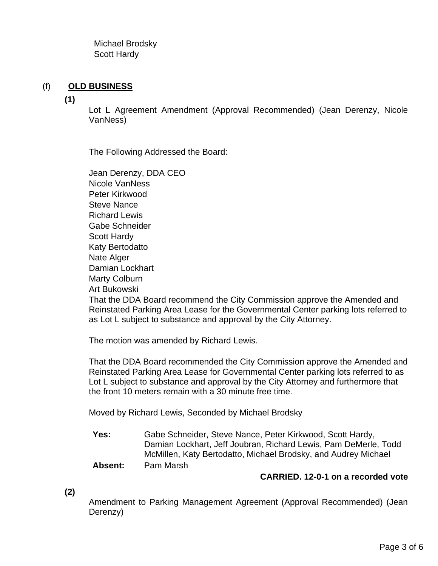Michael Brodsky Scott Hardy

# (f) **OLD BUSINESS**

**(1)**

Lot L Agreement Amendment (Approval Recommended) (Jean Derenzy, Nicole VanNess)

The Following Addressed the Board:

Jean Derenzy, DDA CEO Nicole VanNess Peter Kirkwood Steve Nance Richard Lewis Gabe Schneider Scott Hardy Katy Bertodatto Nate Alger Damian Lockhart Marty Colburn Art Bukowski That the DDA Board recommend the City Commission approve the Amended and Reinstated Parking Area Lease for the Governmental Center parking lots referred to as Lot L subject to substance and approval by the City Attorney.

The motion was amended by Richard Lewis.

That the DDA Board recommended the City Commission approve the Amended and Reinstated Parking Area Lease for Governmental Center parking lots referred to as Lot L subject to substance and approval by the City Attorney and furthermore that the front 10 meters remain with a 30 minute free time.

Moved by Richard Lewis, Seconded by Michael Brodsky

**Yes:** Gabe Schneider, Steve Nance, Peter Kirkwood, Scott Hardy, Damian Lockhart, Jeff Joubran, Richard Lewis, Pam DeMerle, Todd McMillen, Katy Bertodatto, Michael Brodsky, and Audrey Michael **Absent:** Pam Marsh

## **CARRIED. 12-0-1 on a recorded vote**

**(2)**

Amendment to Parking Management Agreement (Approval Recommended) (Jean Derenzy)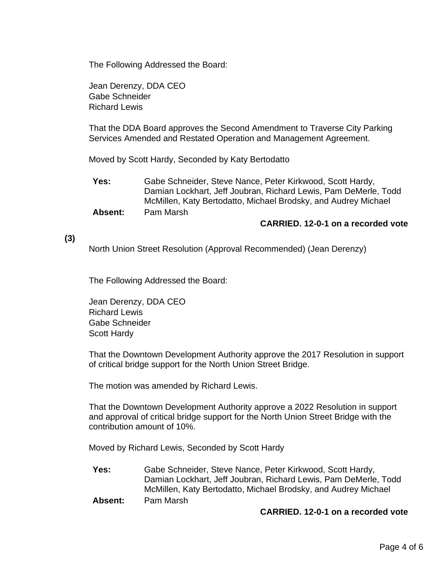The Following Addressed the Board:

Jean Derenzy, DDA CEO Gabe Schneider Richard Lewis

That the DDA Board approves the Second Amendment to Traverse City Parking Services Amended and Restated Operation and Management Agreement.

Moved by Scott Hardy, Seconded by Katy Bertodatto

**Yes:** Gabe Schneider, Steve Nance, Peter Kirkwood, Scott Hardy, Damian Lockhart, Jeff Joubran, Richard Lewis, Pam DeMerle, Todd McMillen, Katy Bertodatto, Michael Brodsky, and Audrey Michael

**Absent:** Pam Marsh

## **CARRIED. 12-0-1 on a recorded vote**

## **(3)**

North Union Street Resolution (Approval Recommended) (Jean Derenzy)

The Following Addressed the Board:

Jean Derenzy, DDA CEO Richard Lewis Gabe Schneider Scott Hardy

That the Downtown Development Authority approve the 2017 Resolution in support of critical bridge support for the North Union Street Bridge.

The motion was amended by Richard Lewis.

That the Downtown Development Authority approve a 2022 Resolution in support and approval of critical bridge support for the North Union Street Bridge with the contribution amount of 10%.

Moved by Richard Lewis, Seconded by Scott Hardy

- **Yes:** Gabe Schneider, Steve Nance, Peter Kirkwood, Scott Hardy, Damian Lockhart, Jeff Joubran, Richard Lewis, Pam DeMerle, Todd McMillen, Katy Bertodatto, Michael Brodsky, and Audrey Michael
- **Absent:** Pam Marsh

#### **CARRIED. 12-0-1 on a recorded vote**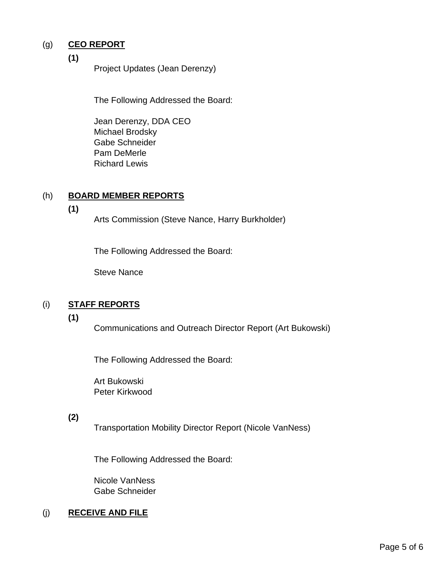# (g) **CEO REPORT**

**(1)**

Project Updates (Jean Derenzy)

The Following Addressed the Board:

Jean Derenzy, DDA CEO Michael Brodsky Gabe Schneider Pam DeMerle Richard Lewis

# (h) **BOARD MEMBER REPORTS**

**(1)**

Arts Commission (Steve Nance, Harry Burkholder)

The Following Addressed the Board:

Steve Nance

# (i) **STAFF REPORTS**

**(1)**

Communications and Outreach Director Report (Art Bukowski)

The Following Addressed the Board:

Art Bukowski Peter Kirkwood

## **(2)**

Transportation Mobility Director Report (Nicole VanNess)

The Following Addressed the Board:

Nicole VanNess Gabe Schneider

# (j) **RECEIVE AND FILE**